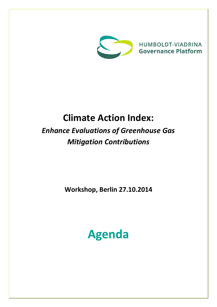

**HUMBOLDT-VIADRINA Governance Platform** 

## **Climate Action Index:**

## *Enhance Evaluations of Greenhouse Gas Mitigation Contributions*

**Workshop, Berlin 27.10.2014**

# **Agenda**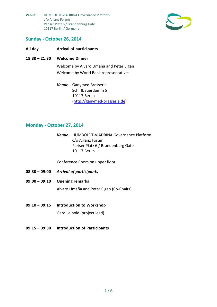

#### **Sunday - October 26, 2014**

#### **All day Arrival of participants**

#### **18:30 – 21:30 Welcome Dinner**

Welcome by Alvaro Umaña and Peter Eigen Welcome by World Bank representatives

*Venue:* Ganymed Brasserie Schiffbauerdamm 5 10117 Berlin [\(http://ganymed-brasserie.de\)](http://ganymed-brasserie.de/)

#### **Monday - October 27, 2014**

*Venue:* HUMBOLDT-VIADRINA Governance Platform c/o Allianz Forum Pariser Platz 6 / Brandenburg Gate 10117 Berlin

Conference Room on upper floor

- **08:30 – 09:00** *Arrival of participants*
- **09:00 – 09:10 Opening remarks**

Alvaro Umaña and Peter Eigen (Co-Chairs)

- **09:10 – 09:15 Introduction to Workshop** Gerd Leipold (project lead)
- **09:15 – 09:30 Introduction of Participants**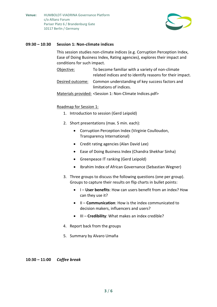

#### **09:30 – 10:30 Session 1: Non-climate indices**

This session studies non-climate indices (e.g. Corruption Perception Index, Ease of Doing Business Index, Rating agencies), explores their impact and conditions for such impact.

Objective: To become familiar with a variety of non-climate related indices and to identify reasons for their impact. Desired outcome: Common understanding of key success factors and limitations of indices.

Materials provided: <Session 1: Non-Climate Indices.pdf>

#### Roadmap for Session 1:

- 1. Introduction to session (Gerd Leipold)
- 2. Short presentations (max. 5 min. each):
	- Corruption Perception Index (Virginie Coulloudon, Transparency International)
	- Credit rating agencies (Alan David Lee)
	- Ease of Doing Business Index (Chandra Shekhar Sinha)
	- Greenpeace IT ranking (Gerd Leipold)
	- Ibrahim Index of African Governance (Sebastian Wegner)
- 3. Three groups to discuss the following questions (one per group). Groups to capture their results on flip charts in bullet points:
	- I **User benefits**: How can users benefit from an index? How can they use it?
	- II **Communication**: How is the index communicated to decision makers, influencers and users?
	- III **Credibility**: What makes an index credible?
- 4. Report back from the groups
- 5. Summary by Alvaro Umaña

#### **10:30 – 11:00** *Coffee break*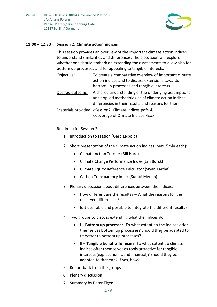

#### **11:00 – 12:30 Session 2: Climate action indices**

This session provides an overview of the important climate action indices to understand similarities and differences. The discussion will explore whether one should embark on extending the assessments to allow also for bottom up processes and for appealing to tangible interests.

| Objective:       | To create a comparative overview of important climate<br>action indices and to discuss extensions towards<br>bottom up processes and tangible interests.            |
|------------------|---------------------------------------------------------------------------------------------------------------------------------------------------------------------|
| Desired outcome: | A shared understanding of the underlying assumptions<br>and applied methodologies of climate action indices.<br>differencies in their results and reasons for them. |

Materials provided: <Session2: Climate Indices.pdf> & <Coverage of Climate Indices.xlsx>

#### Roadmap for Session 2:

- 1. Introduction to session (Gerd Leipold)
- 2. Short presentation of the climate action indices (max. 5min each):
	- Climate Action Tracker (Bill Hare)
	- Climate Change Performance Index (Jan Burck)
	- Climate Equity Reference Calculator (Sivan Kartha)
	- Carbon Transparency Index (Surabi Menon)
- 3. Plenary discussion about differences between the indices:
	- How different are the results? What the reasons for the observed differences?
	- Is it desirable and possible to integrate the different results?
- 4. Two groups to discuss extending what the indices do:
	- I **Bottom up processes**: To what extent do the indices offer themselves bottom up processes? Should they be adapted to fit better to bottom up processes?
	- II **Tangible benefits for users**: To what extent do climate indices offer themselves as tools attractive for tangible interests (e.g. economic and financial)? Should they be adapted to that end? If yes, how?
- 5. Report back from the groups
- 6. Plenary discussion
- 7. Summary by Peter Eigen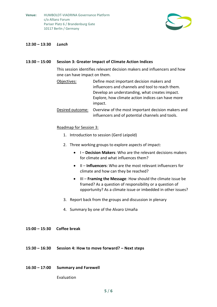

#### **12:30 – 13:30** *Lunch*

#### **13:30 – 15:00 Session 3: Greater Impact of Climate Action Indices**

This session identifies relevant decision makers and influencers and how one can have impact on them.

- Objectives: Define most important decision makers and influencers and channels and tool to reach them. Develop an understanding, what creates impact. Explore, how climate action indices can have more impact.
- Desired outcome: Overview of the most important decision makers and influencers and of potential channels and tools.

#### Roadmap for Session 3:

- 1. Introduction to session (Gerd Leipold)
- 2. Three working groups to explore aspects of impact:
	- I **Decision Makers**: Who are the relevant decisions makers for climate and what influences them?
	- II **Influencers**: Who are the most relevant influencers for climate and how can they be reached?
	- III **Framing the Message**: How should the climate issue be framed? As a question of responsibility or a question of opportunity? As a climate issue or imbedded in other issues?
- 3. Report back from the groups and discussion in plenary
- 4. Summary by one of the Alvaro Umaña
- **15:00 – 15:30 Coffee break**
- **15:30 – 16:30 Session 4: How to move forward? – Next steps**
- **16:30 – 17:00 Summary and Farewell**

Evaluation